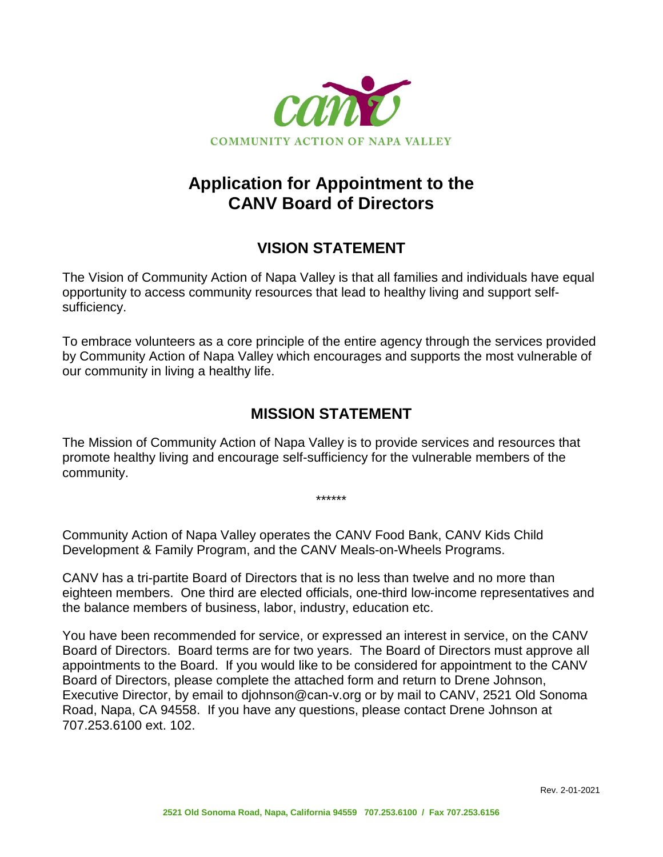

## **Application for Appointment to the CANV Board of Directors**

## **VISION STATEMENT**

The Vision of Community Action of Napa Valley is that all families and individuals have equal opportunity to access community resources that lead to healthy living and support selfsufficiency.

To embrace volunteers as a core principle of the entire agency through the services provided by Community Action of Napa Valley which encourages and supports the most vulnerable of our community in living a healthy life.

## **MISSION STATEMENT**

The Mission of Community Action of Napa Valley is to provide services and resources that promote healthy living and encourage self-sufficiency for the vulnerable members of the community.

\*\*\*\*\*\*

Community Action of Napa Valley operates the CANV Food Bank, CANV Kids Child Development & Family Program, and the CANV Meals-on-Wheels Programs.

CANV has a tri-partite Board of Directors that is no less than twelve and no more than eighteen members. One third are elected officials, one-third low-income representatives and the balance members of business, labor, industry, education etc.

You have been recommended for service, or expressed an interest in service, on the CANV Board of Directors. Board terms are for two years. The Board of Directors must approve all appointments to the Board. If you would like to be considered for appointment to the CANV Board of Directors, please complete the attached form and return to Drene Johnson, Executive Director, by email to djohnson@can-v.org or by mail to CANV, 2521 Old Sonoma Road, Napa, CA 94558. If you have any questions, please contact Drene Johnson at 707.253.6100 ext. 102.

Rev. 2-01-2021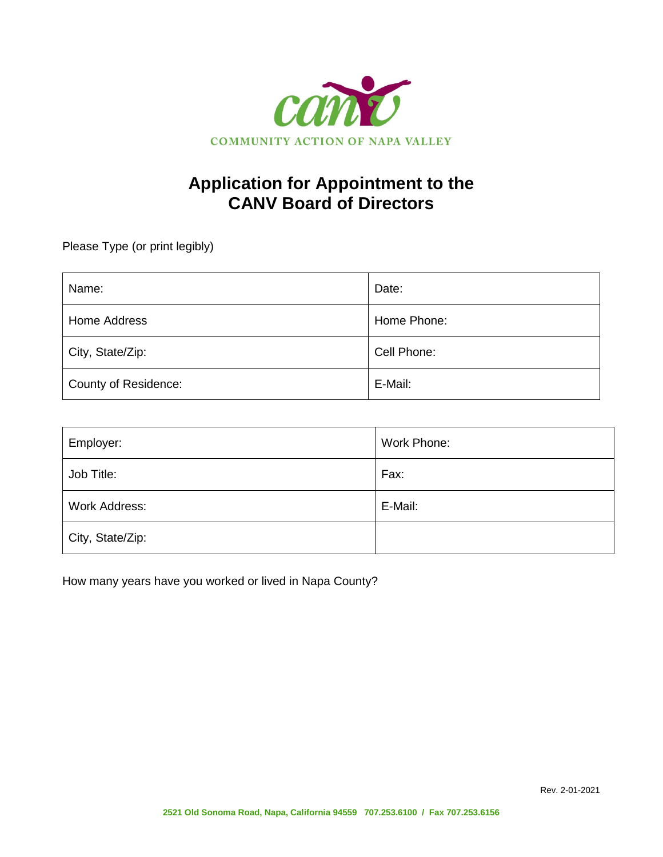

## **Application for Appointment to the CANV Board of Directors**

Please Type (or print legibly)

| Name:                | Date:       |
|----------------------|-------------|
| Home Address         | Home Phone: |
| City, State/Zip:     | Cell Phone: |
| County of Residence: | E-Mail:     |

| Employer:        | Work Phone: |
|------------------|-------------|
| Job Title:       | Fax:        |
| Work Address:    | E-Mail:     |
| City, State/Zip: |             |

How many years have you worked or lived in Napa County?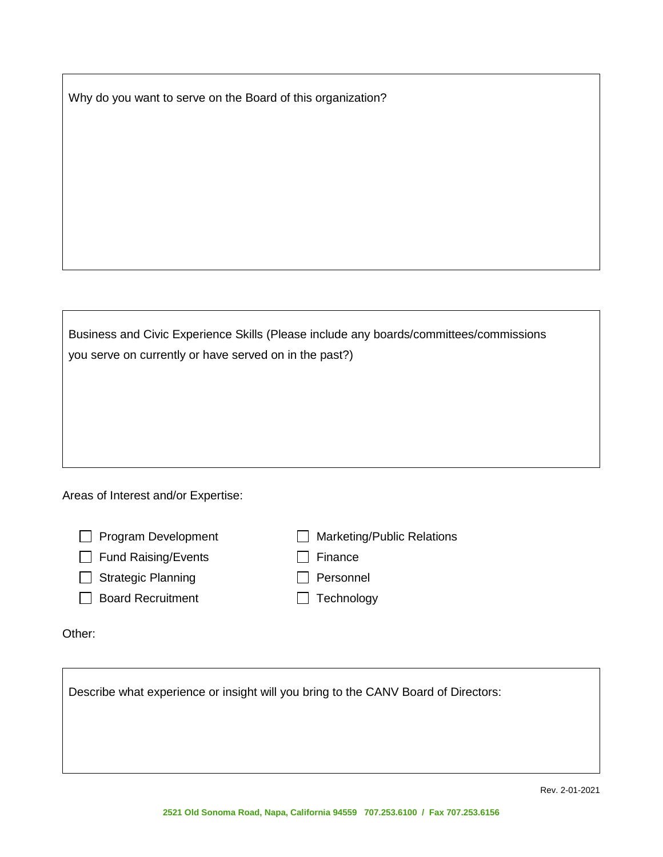Why do you want to serve on the Board of this organization?

| Business and Civic Experience Skills (Please include any boards/committees/commissions |  |  |
|----------------------------------------------------------------------------------------|--|--|
| you serve on currently or have served on in the past?)                                 |  |  |
|                                                                                        |  |  |
|                                                                                        |  |  |

Areas of Interest and/or Expertise:

| $\Box$ Program Development | Marketing/Public Relations |
|----------------------------|----------------------------|
| $\Box$ Fund Raising/Events | $\Box$ Finance             |
| $\Box$ Strategic Planning  | $\Box$ Personnel           |
| <b>Board Recruitment</b>   | $\Box$ Technology          |
|                            |                            |

Other:

Describe what experience or insight will you bring to the CANV Board of Directors: